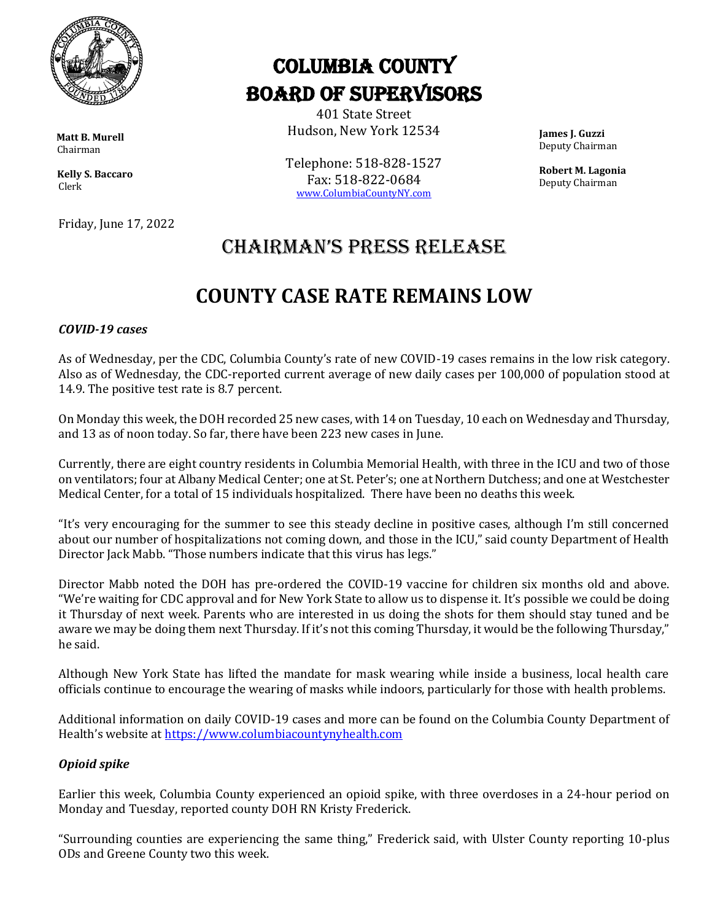

 **Matt B. Murell** Chairman

 **Kelly S. Baccaro** Clerk

Friday, June 17, 2022

# Columbia County Board of Supervisors

401 State Street Hudson, New York 12534

Telephone: 518-828-1527 Fax: 518-822-0684 [www.ColumbiaCountyNY.com](http://www.columbiacountyny.com/)

 **James J. Guzzi** Deputy Chairman

 **Robert M. Lagonia** Deputy Chairman

### Chairman's press release

## **COUNTY CASE RATE REMAINS LOW**

#### *COVID-19 cases*

As of Wednesday, per the CDC, Columbia County's rate of new COVID-19 cases remains in the low risk category. Also as of Wednesday, the CDC-reported current average of new daily cases per 100,000 of population stood at 14.9. The positive test rate is 8.7 percent.

On Monday this week, the DOH recorded 25 new cases, with 14 on Tuesday, 10 each on Wednesday and Thursday, and 13 as of noon today. So far, there have been 223 new cases in June.

Currently, there are eight country residents in Columbia Memorial Health, with three in the ICU and two of those on ventilators; four at Albany Medical Center; one at St. Peter's; one at Northern Dutchess; and one at Westchester Medical Center, for a total of 15 individuals hospitalized. There have been no deaths this week.

"It's very encouraging for the summer to see this steady decline in positive cases, although I'm still concerned about our number of hospitalizations not coming down, and those in the ICU," said county Department of Health Director Jack Mabb. "Those numbers indicate that this virus has legs."

Director Mabb noted the DOH has pre-ordered the COVID-19 vaccine for children six months old and above. "We're waiting for CDC approval and for New York State to allow us to dispense it. It's possible we could be doing it Thursday of next week. Parents who are interested in us doing the shots for them should stay tuned and be aware we may be doing them next Thursday. If it's not this coming Thursday, it would be the following Thursday," he said.

Although New York State has lifted the mandate for mask wearing while inside a business, local health care officials continue to encourage the wearing of masks while indoors, particularly for those with health problems.

Additional information on daily COVID-19 cases and more can be found on the Columbia County Department of Health's website at [https://www.columbiacountynyhealth.com](https://www.columbiacountynyhealth.com/)

### *Opioid spike*

Earlier this week, Columbia County experienced an opioid spike, with three overdoses in a 24-hour period on Monday and Tuesday, reported county DOH RN Kristy Frederick.

"Surrounding counties are experiencing the same thing," Frederick said, with Ulster County reporting 10-plus ODs and Greene County two this week.